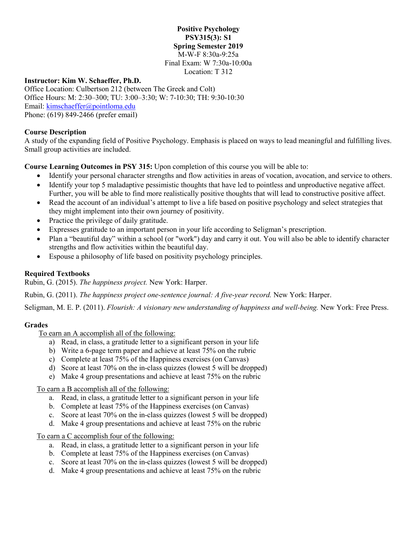### **Positive Psychology PSY315(3): S1 Spring Semester 2019** M-W-F 8:30a-9:25a Final Exam: W 7:30a-10:00a Location: T 312

### **Instructor: Kim W. Schaeffer, Ph.D.**

Office Location: Culbertson 212 (between The Greek and Colt) Office Hours: M: 2:30–300; TU: 3:00–3:30; W: 7-10:30; TH: 9:30-10:30 Email: [kimschaeffer@pointloma.edu](mailto:kimschaeffer@pointloma.edu) Phone: (619) 849-2466 (prefer email)

## **Course Description**

A study of the expanding field of Positive Psychology. Emphasis is placed on ways to lead meaningful and fulfilling lives. Small group activities are included.

**Course Learning Outcomes in PSY 315:** Upon completion of this course you will be able to:

- Identify your personal character strengths and flow activities in areas of vocation, avocation, and service to others.
- Identify your top 5 maladaptive pessimistic thoughts that have led to pointless and unproductive negative affect. Further, you will be able to find more realistically positive thoughts that will lead to constructive positive affect.
- Read the account of an individual's attempt to live a life based on positive psychology and select strategies that they might implement into their own journey of positivity.
- Practice the privilege of daily gratitude.
- Expresses gratitude to an important person in your life according to Seligman's prescription.
- Plan a "beautiful day" within a school (or "work") day and carry it out. You will also be able to identify character strengths and flow activities within the beautiful day.
- Espouse a philosophy of life based on positivity psychology principles.

## **Required Textbooks**

Rubin, G. (2015). *The happiness project.* New York: Harper.

Rubin, G. (2011). *The happiness project one-sentence journal: A five-year record.* New York: Harper.

Seligman, M. E. P. (2011). *Flourish: A visionary new understanding of happiness and well-being*. New York: Free Press.

## **Grades**

To earn an A accomplish all of the following:

- a) Read, in class, a gratitude letter to a significant person in your life
- b) Write a 6-page term paper and achieve at least 75% on the rubric
- c) Complete at least 75% of the Happiness exercises (on Canvas)
- d) Score at least 70% on the in-class quizzes (lowest 5 will be dropped)
- e) Make 4 group presentations and achieve at least 75% on the rubric

To earn a B accomplish all of the following:

- a. Read, in class, a gratitude letter to a significant person in your life
- b. Complete at least 75% of the Happiness exercises (on Canvas)
- c. Score at least 70% on the in-class quizzes (lowest 5 will be dropped)
- d. Make 4 group presentations and achieve at least 75% on the rubric

To earn a C accomplish four of the following:

- a. Read, in class, a gratitude letter to a significant person in your life
- b. Complete at least 75% of the Happiness exercises (on Canvas)
- c. Score at least 70% on the in-class quizzes (lowest 5 will be dropped)
- d. Make 4 group presentations and achieve at least 75% on the rubric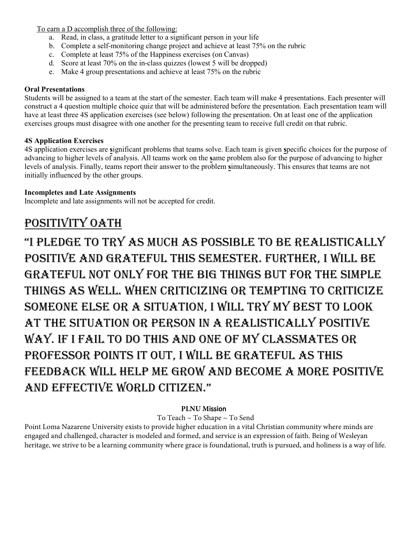To earn a D accomplish three of the following:

- a. Read, in class, a gratitude letter to a significant person in your life
- b. Complete a self-monitoring change project and achieve at least 75% on the rubric
- c. Complete at least 75% of the Happiness exercises (on Canvas)
- d. Score at least 70% on the in-class quizzes (lowest 5 will be dropped)
- e. Make 4 group presentations and achieve at least 75% on the rubric

## **Oral Presentations**

Students will be assigned to a team at the start of the semester. Each team will make 4 presentations. Each presenter will construct a 4 question multiple choice quiz that will be administered before the presentation. Each presentation team will have at least three 4S application exercises (see below) following the presentation. On at least one of the application exercises groups must disagree with one another for the presenting team to receive full credit on that rubric.

# **4S Application Exercises**

4S application exercises are **s**ignificant problems that teams solve. Each team is given **s**pecific choices for the purpose of advancing to higher levels of analysis. All teams work on the **s**ame problem also for the purpose of advancing to higher levels of analysis. Finally, teams report their answer to the problem **s**imultaneously. This ensures that teams are not initially influenced by the other groups.

## **Incompletes and Late Assignments**

Incomplete and late assignments will not be accepted for credit.

# POSITIVITY OATH

"i Pledge to try as much as Possible to be realistically Positive and grateful this semester. further, i will be grateful not only for the big things but for the simPle things as well. when criticizing or temPting to criticize someone else or a situation, i will try my best to look at the situation or Person in a realistically Positive way. if i fail to do this and one of my classmates or Professor Points it out, i will be grateful as this feedback will helP me grow and become a more Positive and effective world citizen."

## **PLNU M**ission

To Teach ~ To Shape ~ To Send

Point Loma Nazarene University exists to provide higher education in a vital Christian community where minds are engaged and challenged, character is modeled and formed, and service is an expression of faith. Being of Wesleyan heritage, we strive to be a learning community where grace is foundational, truth is pursued, and holiness is a way of life.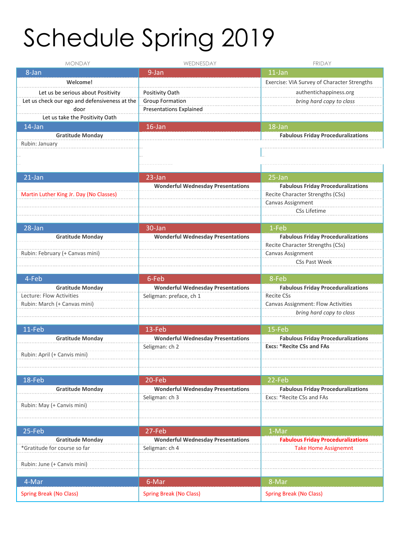# Schedule Spring 2019

| <b>MONDAY</b>                                 | WEDNESDAY                                | <b>FRIDAY</b>                                                                 |
|-----------------------------------------------|------------------------------------------|-------------------------------------------------------------------------------|
| 8-Jan                                         | 9-Jan                                    | $11$ -Jan                                                                     |
| Welcome!                                      |                                          | Exercise: VIA Survey of Character Strengths                                   |
| Let us be serious about Positivity            | Positivity Oath                          | authentichappiness.org                                                        |
| Let us check our ego and defensiveness at the | <b>Group Formation</b>                   | bring hard copy to class                                                      |
| door                                          | <b>Presentations Explained</b>           |                                                                               |
| Let us take the Positivity Oath               |                                          |                                                                               |
| 14-Jan                                        | $16$ -Jan                                | 18-Jan                                                                        |
| <b>Gratitude Monday</b>                       |                                          | <b>Fabulous Friday Proceduralizations</b>                                     |
| Rubin: January                                |                                          |                                                                               |
|                                               |                                          |                                                                               |
|                                               |                                          |                                                                               |
|                                               |                                          |                                                                               |
| $21$ -Jan                                     | 23-Jan                                   | 25-Jan                                                                        |
| Martin Luther King Jr. Day (No Classes)       | <b>Wonderful Wednesday Presentations</b> | <b>Fabulous Friday Proceduralizations</b><br>Recite Character Strengths (CSs) |
|                                               |                                          | Canvas Assignment                                                             |
|                                               |                                          | <b>CSs Lifetime</b>                                                           |
|                                               |                                          |                                                                               |
| 28-Jan                                        | 30-Jan                                   | 1-Feb                                                                         |
| <b>Gratitude Monday</b>                       | <b>Wonderful Wednesday Presentations</b> | <b>Fabulous Friday Proceduralizations</b>                                     |
|                                               |                                          | Recite Character Strengths (CSs)                                              |
| Rubin: February (+ Canvas mini)               |                                          | Canvas Assignment                                                             |
|                                               |                                          | <b>CSs Past Week</b>                                                          |
|                                               |                                          |                                                                               |
| 4-Feb                                         | 6-Feb                                    | 8-Feb                                                                         |
| <b>Gratitude Monday</b>                       | <b>Wonderful Wednesday Presentations</b> | <b>Fabulous Friday Proceduralizations</b>                                     |
| Lecture: Flow Activities                      | Seligman: preface, ch 1                  | <b>Recite CSs</b>                                                             |
| Rubin: March (+ Canvas mini)                  |                                          | Canvas Assignment: Flow Activities<br>bring hard copy to class                |
|                                               |                                          |                                                                               |
| 11-Feb                                        | 13-Feb                                   | 15-Feb                                                                        |
| <b>Gratitude Monday</b>                       | <b>Wonderful Wednesday Presentations</b> | <b>Fabulous Friday Proceduralizations</b>                                     |
|                                               | Seligman: ch 2                           | <b>Excs: *Recite CSs and FAs</b>                                              |
| Rubin: April (+ Canvis mini)                  |                                          |                                                                               |
|                                               |                                          |                                                                               |
|                                               |                                          |                                                                               |
| 18-Feb                                        | 20-Feb                                   | 22-Feb                                                                        |
| <b>Gratitude Monday</b>                       | <b>Wonderful Wednesday Presentations</b> | <b>Fabulous Friday Proceduralizations</b>                                     |
|                                               | Seligman: ch 3                           | Excs: *Recite CSs and FAs                                                     |
| Rubin: May (+ Canvis mini)                    |                                          |                                                                               |
|                                               |                                          |                                                                               |
| 25-Feb                                        | 27-Feb                                   | 1-Mar                                                                         |
| <b>Gratitude Monday</b>                       | <b>Wonderful Wednesday Presentations</b> | <b>Fabulous Friday Proceduralizations</b>                                     |
| *Gratitude for course so far                  | Seligman: ch 4                           | <b>Take Home Assignemnt</b>                                                   |
|                                               |                                          |                                                                               |
| Rubin: June (+ Canvis mini)                   |                                          |                                                                               |
|                                               |                                          |                                                                               |
| 4-Mar                                         | 6-Mar                                    | 8-Mar                                                                         |
| <b>Spring Break (No Class)</b>                | <b>Spring Break (No Class)</b>           | <b>Spring Break (No Class)</b>                                                |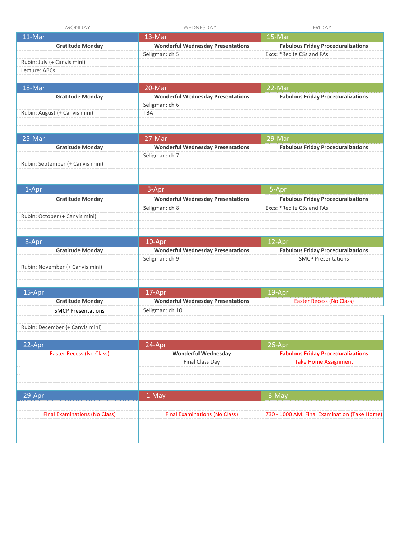| <b>MONDAY</b>                                          | WEDNESDAY                                                   | <b>FRIDAY</b>                                                            |
|--------------------------------------------------------|-------------------------------------------------------------|--------------------------------------------------------------------------|
| 11-Mar                                                 | 13-Mar                                                      | 15-Mar                                                                   |
| <b>Gratitude Monday</b><br>Rubin: July (+ Canvis mini) | <b>Wonderful Wednesday Presentations</b><br>Seligman: ch 5  | <b>Fabulous Friday Proceduralizations</b><br>Excs: *Recite CSs and FAs   |
| Lecture: ABCs                                          |                                                             |                                                                          |
| 18-Mar                                                 | 20-Mar                                                      | 22-Mar                                                                   |
| <b>Gratitude Monday</b>                                | <b>Wonderful Wednesday Presentations</b><br>Seligman: ch 6  | <b>Fabulous Friday Proceduralizations</b>                                |
| Rubin: August (+ Canvis mini)                          | <b>TBA</b>                                                  |                                                                          |
| 25-Mar                                                 | 27-Mar                                                      | 29-Mar                                                                   |
| <b>Gratitude Monday</b>                                | <b>Wonderful Wednesday Presentations</b><br>Seligman: ch 7  | <b>Fabulous Friday Proceduralizations</b>                                |
| Rubin: September (+ Canvis mini)                       |                                                             |                                                                          |
| 1-Apr                                                  | 3-Apr                                                       | 5-Apr                                                                    |
| <b>Gratitude Monday</b>                                | <b>Wonderful Wednesday Presentations</b>                    | <b>Fabulous Friday Proceduralizations</b>                                |
| Rubin: October (+ Canvis mini)                         | Seligman: ch 8                                              | Excs: *Recite CSs and FAs                                                |
| 8-Apr                                                  | 10-Apr                                                      | 12-Apr                                                                   |
| <b>Gratitude Monday</b>                                | <b>Wonderful Wednesday Presentations</b>                    | <b>Fabulous Friday Proceduralizations</b>                                |
| Rubin: November (+ Canvis mini)                        | Seligman: ch 9                                              | <b>SMCP Presentations</b>                                                |
|                                                        |                                                             |                                                                          |
| 15-Apr                                                 | 17-Apr                                                      | 19-Apr                                                                   |
| <b>Gratitude Monday</b><br><b>SMCP Presentations</b>   | <b>Wonderful Wednesday Presentations</b><br>Seligman: ch 10 | <b>Easter Recess (No Class)</b>                                          |
| Rubin: December (+ Canvis mini)                        |                                                             |                                                                          |
| 22-Apr                                                 | 24-Apr                                                      | 26-Apr                                                                   |
| <b>Easter Recess (No Class)</b>                        | <b>Wonderful Wednesday</b><br>Final Class Day               | <b>Fabulous Friday Proceduralizations</b><br><b>Take Home Assignment</b> |
| 29-Apr                                                 | 1-May                                                       | 3-May                                                                    |
| <b>Final Examinations (No Class)</b>                   | <b>Final Examinations (No Class)</b>                        | 730 - 1000 AM: Final Examination (Take Home)                             |
|                                                        |                                                             |                                                                          |